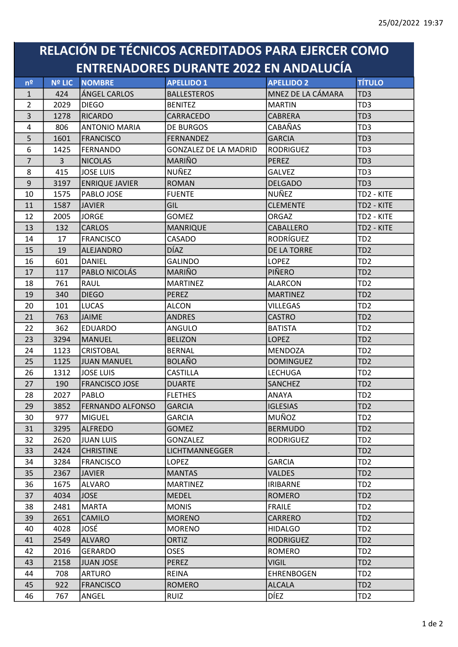## RELACIÓN DE TÉCNICOS ACREDITADOS PARA EJERCER COMO ENTRENADORES DURANTE 2022 EN ANDALUCÍA

| n <sup>2</sup> | <b>Nº LIC</b>  | <b>NOMBRE</b>           | <b>APELLIDO 1</b>            | <b>APELLIDO 2</b>  | <b>TÍTULO</b>   |
|----------------|----------------|-------------------------|------------------------------|--------------------|-----------------|
| $\mathbf{1}$   | 424            | ÁNGEL CARLOS            | <b>BALLESTEROS</b>           | MNEZ DE LA CÁMARA  | TD <sub>3</sub> |
| $\overline{2}$ | 2029           | <b>DIEGO</b>            | <b>BENITEZ</b>               | <b>MARTIN</b>      | TD <sub>3</sub> |
| 3              | 1278           | RICARDO                 | CARRACEDO                    | <b>CABRERA</b>     | TD <sub>3</sub> |
| $\overline{4}$ | 806            | <b>ANTONIO MARIA</b>    | DE BURGOS                    | CABAÑAS            | TD <sub>3</sub> |
| 5              | 1601           | <b>FRANCISCO</b>        | <b>FERNANDEZ</b>             | <b>GARCIA</b>      | TD <sub>3</sub> |
| 6              | 1425           | FERNANDO                | <b>GONZALEZ DE LA MADRID</b> | <b>RODRIGUEZ</b>   | TD3             |
| $\overline{7}$ | 3 <sup>1</sup> | <b>NICOLAS</b>          | <b>MARIÑO</b>                | <b>PEREZ</b>       | TD <sub>3</sub> |
| 8              | 415            | <b>JOSE LUIS</b>        | NUÑEZ                        | <b>GALVEZ</b>      | TD <sub>3</sub> |
| $9\,$          | 3197           | <b>ENRIQUE JAVIER</b>   | <b>ROMAN</b>                 | <b>DELGADO</b>     | TD <sub>3</sub> |
| 10             | 1575           | <b>PABLO JOSE</b>       | <b>FUENTE</b>                | NUÑEZ              | TD2 - KITE      |
| 11             | 1587           | <b>JAVIER</b>           | GIL                          | <b>CLEMENTE</b>    | TD2 - KITE      |
| 12             | 2005           | <b>JORGE</b>            | <b>GOMEZ</b>                 | <b>ORGAZ</b>       | TD2 - KITE      |
| 13             | 132            | <b>CARLOS</b>           | <b>MANRIQUE</b>              | <b>CABALLERO</b>   | TD2 - KITE      |
| 14             | 17             | <b>FRANCISCO</b>        | CASADO                       | RODRÍGUEZ          | TD <sub>2</sub> |
| 15             | 19             | <b>ALEJANDRO</b>        | <b>DÍAZ</b>                  | <b>DE LA TORRE</b> | TD <sub>2</sub> |
| 16             | 601            | DANIEL                  | <b>GALINDO</b>               | <b>LOPEZ</b>       | TD <sub>2</sub> |
| 17             | 117            | PABLO NICOLÁS           | MARIÑO                       | PIÑERO             | TD <sub>2</sub> |
| 18             | 761            | RAUL                    | <b>MARTINEZ</b>              | <b>ALARCON</b>     | TD <sub>2</sub> |
| 19             | 340            | <b>DIEGO</b>            | <b>PEREZ</b>                 | <b>MARTINEZ</b>    | TD <sub>2</sub> |
| 20             | 101            | <b>LUCAS</b>            | <b>ALCON</b>                 | <b>VILLEGAS</b>    | TD <sub>2</sub> |
| 21             | 763            | <b>JAIME</b>            | <b>ANDRES</b>                | <b>CASTRO</b>      | TD <sub>2</sub> |
| 22             | 362            | <b>EDUARDO</b>          | <b>ANGULO</b>                | <b>BATISTA</b>     | TD <sub>2</sub> |
| 23             | 3294           | MANUEL                  | <b>BELIZON</b>               | <b>LOPEZ</b>       | TD <sub>2</sub> |
| 24             | 1123           | <b>CRISTOBAL</b>        | <b>BERNAL</b>                | <b>MENDOZA</b>     | TD <sub>2</sub> |
| 25             | 1125           | <b>JUAN MANUEL</b>      | <b>BOLAÑO</b>                | <b>DOMINGUEZ</b>   | TD <sub>2</sub> |
| 26             | 1312           | <b>JOSE LUIS</b>        | <b>CASTILLA</b>              | <b>LECHUGA</b>     | TD <sub>2</sub> |
| 27             | 190            | <b>FRANCISCO JOSE</b>   | <b>DUARTE</b>                | <b>SANCHEZ</b>     | TD <sub>2</sub> |
| 28             | 2027           | PABLO                   | <b>FLETHES</b>               | ANAYA              | TD <sub>2</sub> |
| 29             | 3852           | <b>FERNANDO ALFONSO</b> | <b>GARCIA</b>                | <b>IGLESIAS</b>    | TD <sub>2</sub> |
| 30             | 977            | MIGUEL                  | <b>GARCIA</b>                | MUÑOZ              | TD <sub>2</sub> |
| 31             | 3295           | <b>ALFREDO</b>          | <b>GOMEZ</b>                 | <b>BERMUDO</b>     | TD <sub>2</sub> |
| 32             | 2620           | <b>JUAN LUIS</b>        | <b>GONZALEZ</b>              | <b>RODRIGUEZ</b>   | TD <sub>2</sub> |
| 33             | 2424           | <b>CHRISTINE</b>        | LICHTMANNEGGER               |                    | TD <sub>2</sub> |
| 34             | 3284           | <b>FRANCISCO</b>        | <b>LOPEZ</b>                 | <b>GARCIA</b>      | TD <sub>2</sub> |
| 35             | 2367           | <b>JAVIER</b>           | <b>MANTAS</b>                | <b>VALDES</b>      | TD <sub>2</sub> |
| 36             | 1675           | <b>ALVARO</b>           | <b>MARTINEZ</b>              | <b>IRIBARNE</b>    | TD <sub>2</sub> |
| 37             | 4034           | <b>JOSE</b>             | <b>MEDEL</b>                 | <b>ROMERO</b>      | TD <sub>2</sub> |
| 38             | 2481           | MARTA                   | <b>MONIS</b>                 | <b>FRAILE</b>      | TD <sub>2</sub> |
| 39             | 2651           | <b>CAMILO</b>           | <b>MORENO</b>                | CARRERO            | TD <sub>2</sub> |
| 40             | 4028           | JOSÉ                    | <b>MORENO</b>                | <b>HIDALGO</b>     | TD <sub>2</sub> |
| 41             | 2549           | <b>ALVARO</b>           | <b>ORTIZ</b>                 | <b>RODRIGUEZ</b>   | TD <sub>2</sub> |
| 42             | 2016           | <b>GERARDO</b>          | <b>OSES</b>                  | <b>ROMERO</b>      | TD <sub>2</sub> |
| 43             | 2158           | JUAN JOSE               | <b>PEREZ</b>                 | <b>VIGIL</b>       | TD <sub>2</sub> |
| 44             | 708            | <b>ARTURO</b>           | <b>REINA</b>                 | <b>EHRENBOGEN</b>  | TD <sub>2</sub> |
| 45             | 922            | <b>FRANCISCO</b>        | <b>ROMERO</b>                | <b>ALCALA</b>      | TD <sub>2</sub> |
| 46             | 767            | ANGEL                   | <b>RUIZ</b>                  | <b>DÍEZ</b>        | TD <sub>2</sub> |